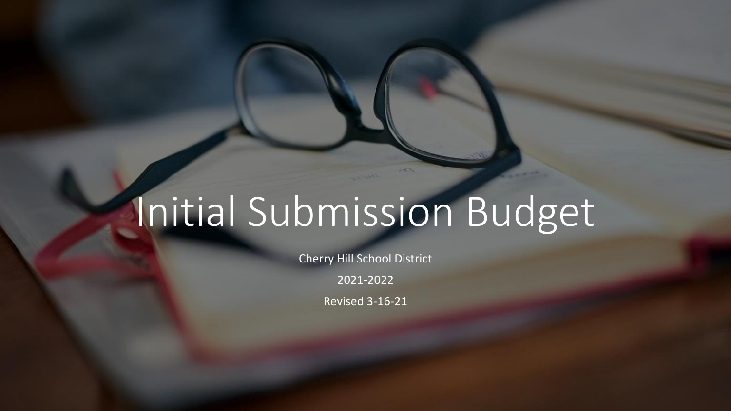# Initial Submission Budget

Cherry Hill School District

2021-2022

Revised 3-16-21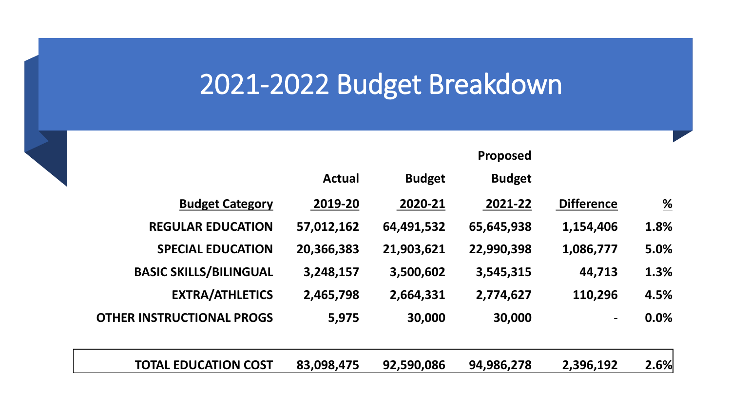|                                  |                   | <b>Proposed</b> |               |               |                                  |
|----------------------------------|-------------------|-----------------|---------------|---------------|----------------------------------|
|                                  |                   | <b>Budget</b>   | <b>Budget</b> | <b>Actual</b> |                                  |
| <u>%</u>                         | <b>Difference</b> | 2021-22         | 2020-21       | 2019-20       | <b>Budget Category</b>           |
| 1.8%                             | 1,154,406         | 65,645,938      | 64,491,532    | 57,012,162    | <b>REGULAR EDUCATION</b>         |
| 5.0%                             | 1,086,777         | 22,990,398      | 21,903,621    | 20,366,383    | <b>SPECIAL EDUCATION</b>         |
| 1.3%                             | 44,713            | 3,545,315       | 3,500,602     | 3,248,157     | <b>BASIC SKILLS/BILINGUAL</b>    |
| 4.5%                             | 110,296           | 2,774,627       | 2,664,331     | 2,465,798     | <b>EXTRA/ATHLETICS</b>           |
| 0.0%<br>$\overline{\phantom{a}}$ |                   | 30,000          | 30,000        | 5,975         | <b>OTHER INSTRUCTIONAL PROGS</b> |
|                                  |                   |                 |               |               |                                  |

**Proposed** 

**TOTAL EDUCATION COST 83,098,475 92,590,086 94,986,278 2,396,192 2.6%**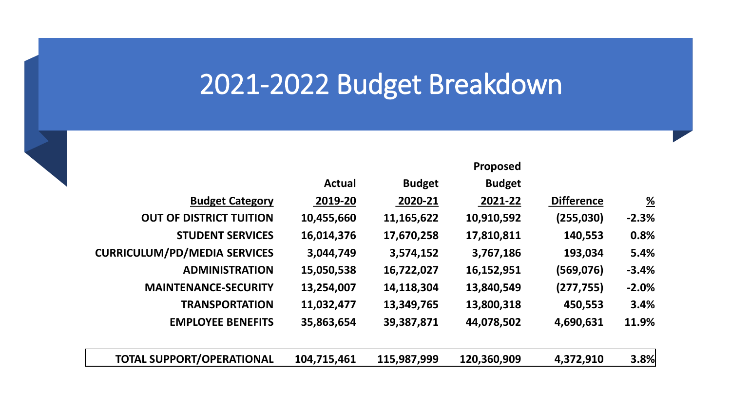|                                     |               |               | <b>Proposed</b> |                   |                       |
|-------------------------------------|---------------|---------------|-----------------|-------------------|-----------------------|
|                                     | <b>Actual</b> | <b>Budget</b> | <b>Budget</b>   |                   |                       |
| <b>Budget Category</b>              | 2019-20       | 2020-21       | 2021-22         | <b>Difference</b> | $\frac{\%}{\sqrt{2}}$ |
| <b>OUT OF DISTRICT TUITION</b>      | 10,455,660    | 11,165,622    | 10,910,592      | (255,030)         | $-2.3%$               |
| <b>STUDENT SERVICES</b>             | 16,014,376    | 17,670,258    | 17,810,811      | 140,553           | 0.8%                  |
| <b>CURRICULUM/PD/MEDIA SERVICES</b> | 3,044,749     | 3,574,152     | 3,767,186       | 193,034           | 5.4%                  |
| <b>ADMINISTRATION</b>               | 15,050,538    | 16,722,027    | 16,152,951      | (569, 076)        | $-3.4%$               |
| <b>MAINTENANCE-SECURITY</b>         | 13,254,007    | 14,118,304    | 13,840,549      | (277, 755)        | $-2.0%$               |
| <b>TRANSPORTATION</b>               | 11,032,477    | 13,349,765    | 13,800,318      | 450,553           | 3.4%                  |
| <b>EMPLOYEE BENEFITS</b>            | 35,863,654    | 39,387,871    | 44,078,502      | 4,690,631         | 11.9%                 |
| <b>TOTAL SUPPORT/OPERATIONAL</b>    | 104,715,461   | 115,987,999   | 120,360,909     | 4,372,910         | 3.8%                  |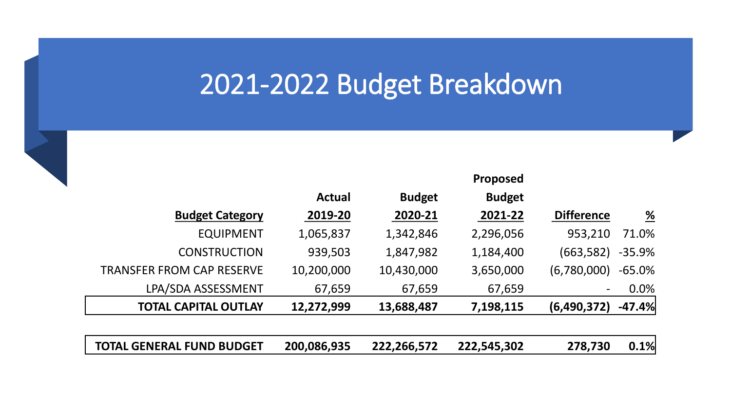**Proposed** 



|                                  | <b>Actual</b> | <b>Budget</b> | <b>Budget</b> |                          |                       |
|----------------------------------|---------------|---------------|---------------|--------------------------|-----------------------|
| <b>Budget Category</b>           | 2019-20       | 2020-21       | 2021-22       | <b>Difference</b>        | $\frac{\%}{\sqrt{2}}$ |
| <b>EQUIPMENT</b>                 | 1,065,837     | 1,342,846     | 2,296,056     | 953,210                  | 71.0%                 |
| <b>CONSTRUCTION</b>              | 939,503       | 1,847,982     | 1,184,400     | (663, 582)               | $-35.9%$              |
| <b>TRANSFER FROM CAP RESERVE</b> | 10,200,000    | 10,430,000    | 3,650,000     | (6,780,000)              | $-65.0%$              |
| LPA/SDA ASSESSMENT               | 67,659        | 67,659        | 67,659        | $\overline{\phantom{a}}$ | 0.0%                  |
| <b>TOTAL CAPITAL OUTLAY</b>      | 12,272,999    | 13,688,487    | 7,198,115     | (6,490,372)              | $-47.4%$              |
|                                  |               |               |               |                          |                       |
| <b>TOTAL GENERAL FUND BUDGET</b> | 200,086,935   | 222,266,572   | 222,545,302   | 278,730                  | 0.1%                  |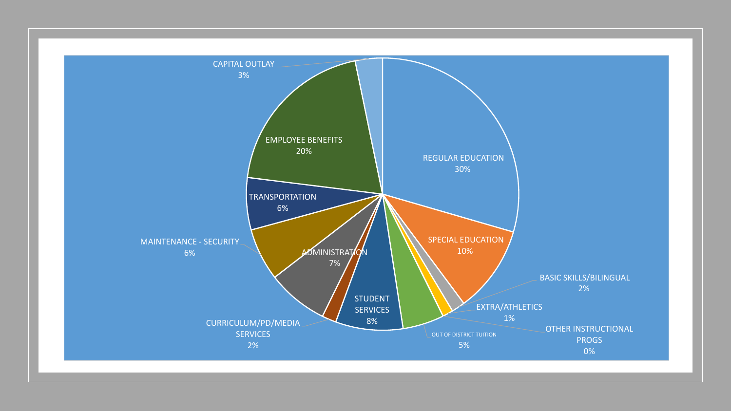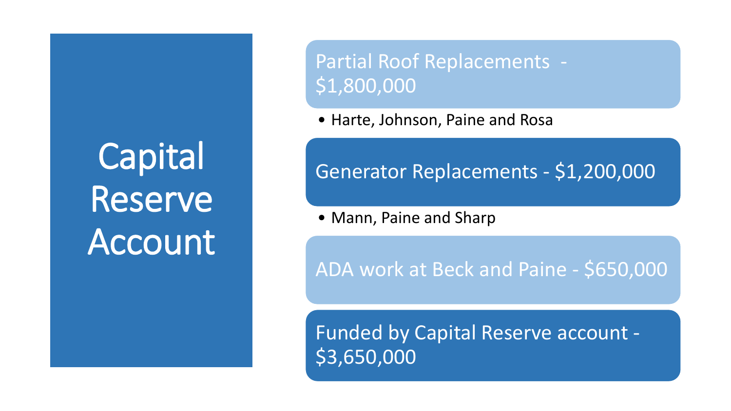**Capital** Reserve Account Partial Roof Replacements - \$1,800,000

• Harte, Johnson, Paine and Rosa

#### Generator Replacements - \$1,200,000

• Mann, Paine and Sharp

ADA work at Beck and Paine - \$650,000

Funded by Capital Reserve account - \$3,650,000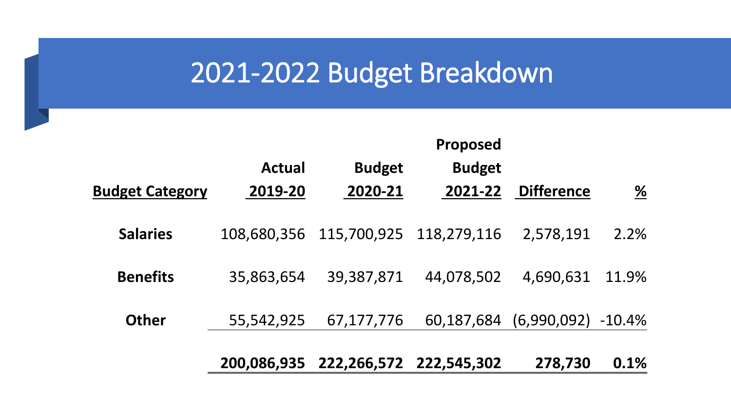|                        |               |               | Proposed      |                    |                 |
|------------------------|---------------|---------------|---------------|--------------------|-----------------|
|                        | <b>Actual</b> | <b>Budget</b> | <b>Budget</b> |                    |                 |
| <b>Budget Category</b> | 2019-20       | 2020-21       | 2021-22       | <b>Difference</b>  | $\frac{\%}{\%}$ |
| <b>Salaries</b>        | 108,680,356   | 115,700,925   | 118,279,116   | 2,578,191          | 2.2%            |
| <b>Benefits</b>        | 35,863,654    | 39,387,871    | 44,078,502    | 4,690,631          | 11.9%           |
| <b>Other</b>           | 55,542,925    | 67,177,776    | 60,187,684    | (6,990,092) -10.4% |                 |
|                        | 200,086,935   | 222,266,572   | 222,545,302   | 278,730            | 0.1%            |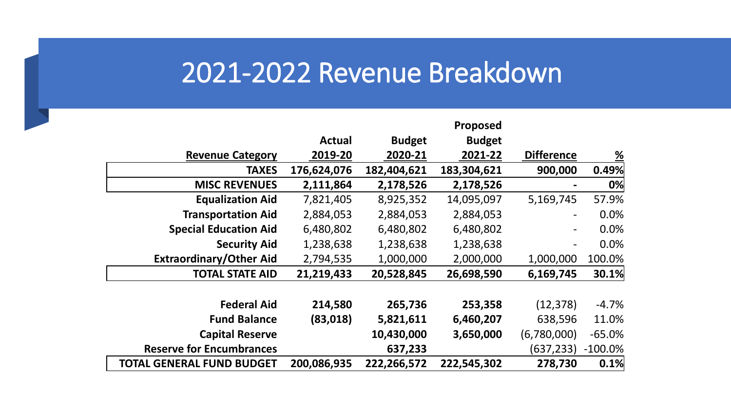#### 2021-2022 Revenue Breakdown

|                                  |               |               | Proposed      |                              |            |
|----------------------------------|---------------|---------------|---------------|------------------------------|------------|
|                                  | <b>Actual</b> | <b>Budget</b> | <b>Budget</b> |                              |            |
| <b>Revenue Category</b>          | 2019-20       | 2020-21       | 2021-22       | <b>Difference</b>            | <u>%</u>   |
| <b>TAXES</b>                     | 176,624,076   | 182,404,621   | 183,304,621   | 900,000                      | 0.49%      |
| <b>MISC REVENUES</b>             | 2,111,864     | 2,178,526     | 2,178,526     |                              | 0%         |
| <b>Equalization Aid</b>          | 7,821,405     | 8,925,352     | 14,095,097    | 5,169,745                    | 57.9%      |
| <b>Transportation Aid</b>        | 2,884,053     | 2,884,053     | 2,884,053     | $\qquad \qquad \blacksquare$ | 0.0%       |
| <b>Special Education Aid</b>     | 6,480,802     | 6,480,802     | 6,480,802     | $\qquad \qquad \blacksquare$ | 0.0%       |
| <b>Security Aid</b>              | 1,238,638     | 1,238,638     | 1,238,638     |                              | 0.0%       |
| <b>Extraordinary/Other Aid</b>   | 2,794,535     | 1,000,000     | 2,000,000     | 1,000,000                    | 100.0%     |
| <b>TOTAL STATE AID</b>           | 21,219,433    | 20,528,845    | 26,698,590    | 6,169,745                    | 30.1%      |
|                                  |               |               |               |                              |            |
| <b>Federal Aid</b>               | 214,580       | 265,736       | 253,358       | (12, 378)                    | $-4.7%$    |
| <b>Fund Balance</b>              | (83,018)      | 5,821,611     | 6,460,207     | 638,596                      | 11.0%      |
| <b>Capital Reserve</b>           |               | 10,430,000    | 3,650,000     | (6,780,000)                  | $-65.0%$   |
| <b>Reserve for Encumbrances</b>  |               | 637,233       |               | (637,233)                    | $-100.0\%$ |
| <b>TOTAL GENERAL FUND BUDGET</b> | 200,086,935   | 222,266,572   | 222,545,302   | 278,730                      | 0.1%       |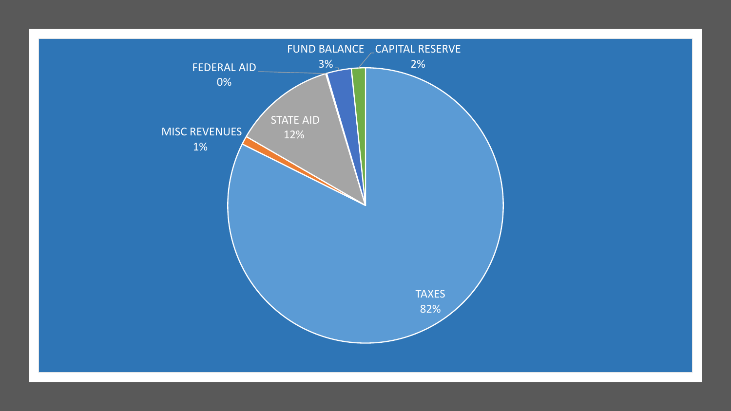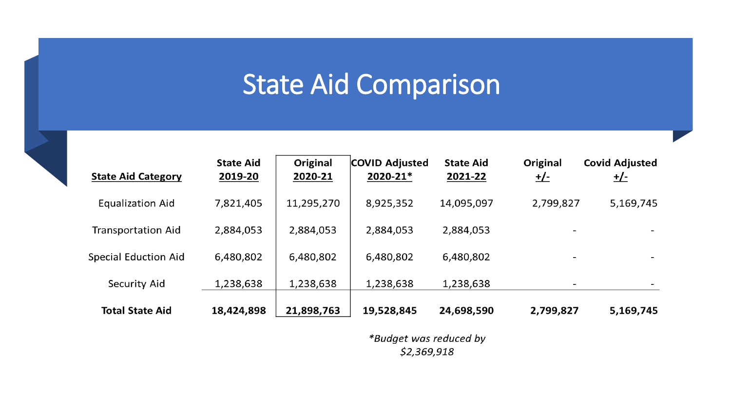## State Aid Comparison

| <b>State Aid Category</b>   | <b>State Aid</b><br>2019-20 | Original<br>2020-21 | <b>COVID Adjusted</b><br>2020-21* | <b>State Aid</b><br>2021-22 | Original<br><u>+/-</u>   | <b>Covid Adjusted</b><br><u>+/-</u> |
|-----------------------------|-----------------------------|---------------------|-----------------------------------|-----------------------------|--------------------------|-------------------------------------|
| <b>Equalization Aid</b>     | 7,821,405                   | 11,295,270          | 8,925,352                         | 14,095,097                  | 2,799,827                | 5,169,745                           |
| <b>Transportation Aid</b>   | 2,884,053                   | 2,884,053           | 2,884,053                         | 2,884,053                   |                          |                                     |
| <b>Special Eduction Aid</b> | 6,480,802                   | 6,480,802           | 6,480,802                         | 6,480,802                   |                          |                                     |
| Security Aid                | 1,238,638                   | 1,238,638           | 1,238,638                         | 1,238,638                   | $\overline{\phantom{a}}$ |                                     |
| <b>Total State Aid</b>      | 18,424,898                  | 21,898,763          | 19,528,845                        | 24,698,590                  | 2,799,827                | 5,169,745                           |

\*Budget was reduced by \$2,369,918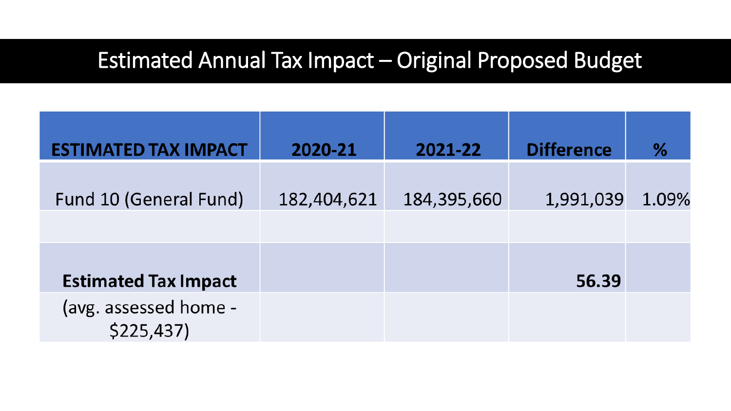#### Estimated Annual Tax Impact – Original Proposed Budget

| <b>ESTIMATED TAX IMPACT</b>        | 2020-21     | 2021-22     | <b>Difference</b> | ℅     |
|------------------------------------|-------------|-------------|-------------------|-------|
| Fund 10 (General Fund)             | 182,404,621 | 184,395,660 | 1,991,039         | 1.09% |
|                                    |             |             |                   |       |
| <b>Estimated Tax Impact</b>        |             |             | 56.39             |       |
| (avg. assessed home -<br>\$225,437 |             |             |                   |       |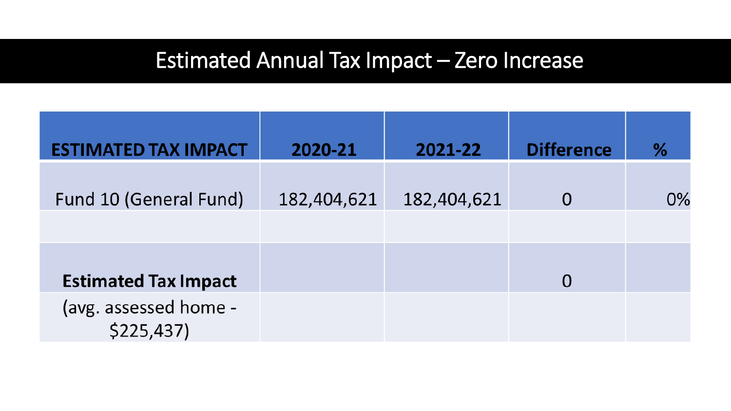#### Estimated Annual Tax Impact – Zero Increase

| <b>ESTIMATED TAX IMPACT</b>        | 2020-21     | 2021-22     | <b>Difference</b> | %  |
|------------------------------------|-------------|-------------|-------------------|----|
| Fund 10 (General Fund)             | 182,404,621 | 182,404,621 |                   | 0% |
| <b>Estimated Tax Impact</b>        |             |             |                   |    |
| (avg. assessed home -<br>\$225,437 |             |             |                   |    |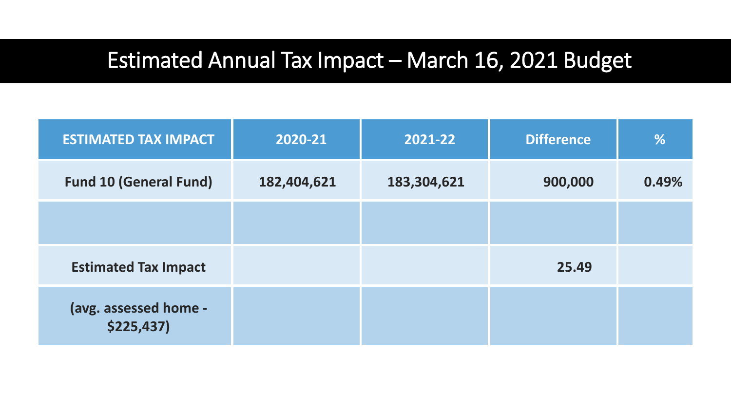#### Estimated Annual Tax Impact – March 16, 2021 Budget

| <b>ESTIMATED TAX IMPACT</b>          | 2020-21     | 2021-22     | <b>Difference</b> | $\frac{9}{6}$ |
|--------------------------------------|-------------|-------------|-------------------|---------------|
| <b>Fund 10 (General Fund)</b>        | 182,404,621 | 183,304,621 | 900,000           | 0.49%         |
|                                      |             |             |                   |               |
| <b>Estimated Tax Impact</b>          |             |             | 25.49             |               |
| (avg. assessed home -<br>\$225,437\$ |             |             |                   |               |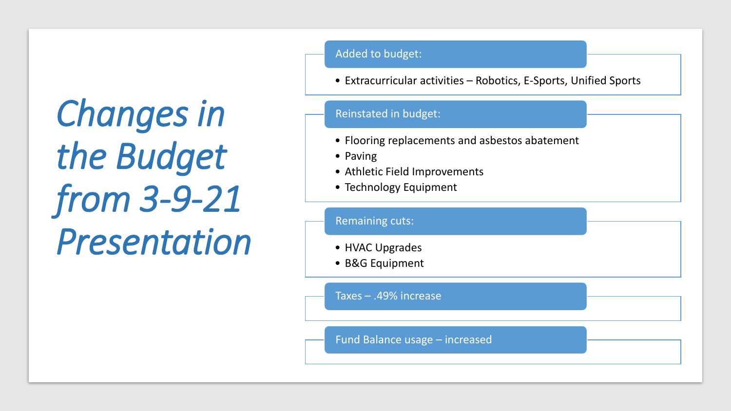*Changes in the Budget from 3-9-21 Presentation* Added to budget:

• Extracurricular activities – Robotics, E-Sports, Unified Sports

#### Reinstated in budget:

- Flooring replacements and asbestos abatement
- Paving
- Athletic Field Improvements
- Technology Equipment

#### • HVAC Upgrades • B&G Equipment Remaining cuts: Taxes – .49% increase Fund Balance usage – increased